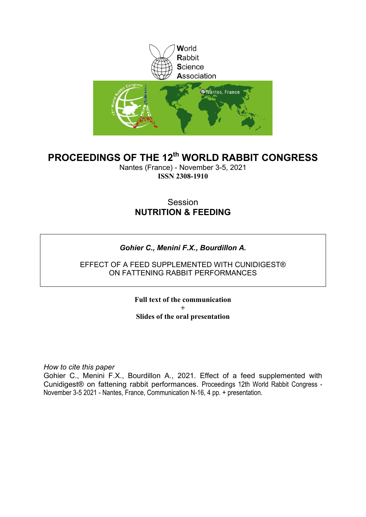

### **PROCEEDINGS OF THE 12th WORLD RABBIT CONGRESS**

Nantes (France) - November 3-5, 2021 **ISSN 2308-1910**

### Session **NUTRITION & FEEDING**

### *Gohier C., Menini F.X., Bourdillon A.*

### EFFECT OF A FEED SUPPLEMENTED WITH CUNIDIGEST® ON FATTENING RABBIT PERFORMANCES

**Full text of the communication + Slides of the oral presentation**

*How to cite this paper*

Gohier C., Menini F.X., Bourdillon A., 2021. Effect of a feed supplemented with Cunidigest® on fattening rabbit performances. Proceedings 12th World Rabbit Congress - November 3-5 2021 - Nantes, France, Communication N-16, 4 pp. + presentation.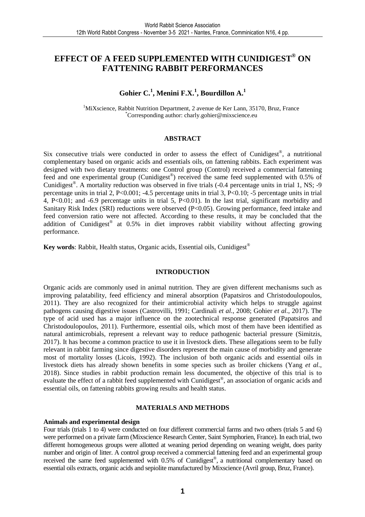### **EFFECT OF A FEED SUPPLEMENTED WITH CUNIDIGEST® ON FATTENING RABBIT PERFORMANCES**

### **Gohier C.<sup>1</sup> , Menini F.X.<sup>1</sup> , Bourdillon A.<sup>1</sup>**

<sup>1</sup>MiXscience, Rabbit Nutrition Department, 2 avenue de Ker Lann, 35170, Bruz, France \*Corresponding author: charly.gohier@mixscience.eu

### **ABSTRACT**

Six consecutive trials were conducted in order to assess the effect of Cunidigest®, a nutritional complementary based on organic acids and essentials oils, on fattening rabbits. Each experiment was designed with two dietary treatments: one Control group (Control) received a commercial fattening feed and one experimental group (Cunidigest®) received the same feed supplemented with 0.5% of Cunidigest<sup>®</sup>. A mortality reduction was observed in five trials (-0.4 percentage units in trial 1, NS; -9 percentage units in trial 2, P<0.001; -4.5 percentage units in trial 3, P<0.10; -5 percentage units in trial 4, P<0.01; and -6.9 percentage units in trial 5, P<0.01). In the last trial, significant morbidity and Sanitary Risk Index (SRI) reductions were observed (P<0.05). Growing performance, feed intake and feed conversion ratio were not affected. According to these results, it may be concluded that the addition of Cunidigest<sup>®</sup> at 0.5% in diet improves rabbit viability without affecting growing performance.

**Key words**: Rabbit, Health status, Organic acids, Essential oils, Cunidigest®

### **INTRODUCTION**

Organic acids are commonly used in animal nutrition. They are given different mechanisms such as improving palatability, feed efficiency and mineral absorption (Papatsiros and Christodoulopoulos, 2011). They are also recognized for their antimicrobial activity which helps to struggle against pathogens causing digestive issues (Castrovilli, 1991; Cardinali *et al.*, 2008; Gohier *et al.*, 2017). The type of acid used has a major influence on the zootechnical response generated (Papatsiros and Christodoulopoulos, 2011). Furthermore, essential oils, which most of them have been identified as natural antimicrobials, represent a relevant way to reduce pathogenic bacterial pressure (Simitzis, 2017). It has become a common practice to use it in livestock diets. These allegations seem to be fully relevant in rabbit farming since digestive disorders represent the main cause of morbidity and generate most of mortality losses (Licois, 1992). The inclusion of both organic acids and essential oils in livestock diets has already shown benefits in some species such as broiler chickens (Yang *et al.*, 2018). Since studies in rabbit production remain less documented, the objective of this trial is to evaluate the effect of a rabbit feed supplemented with Cunidigest®, an association of organic acids and essential oils, on fattening rabbits growing results and health status.

### **MATERIALS AND METHODS**

#### **Animals and experimental design**

Four trials (trials 1 to 4) were conducted on four different commercial farms and two others (trials 5 and 6) were performed on a private farm (Mixscience Research Center, Saint Symphorien, France). In each trial, two different homogeneous groups were allotted at weaning period depending on weaning weight, does parity number and origin of litter. A control group received a commercial fattening feed and an experimental group received the same feed supplemented with 0.5% of Cunidigest®, a nutritional complementary based on essential oils extracts, organic acids and sepiolite manufactured by Mixscience (Avril group, Bruz, France).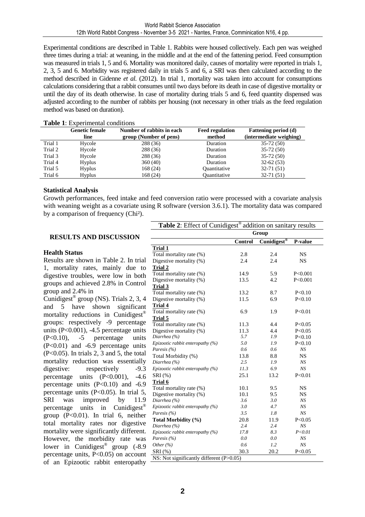Experimental conditions are described in Table 1. Rabbits were housed collectively. Each pen was weighed three times during a trial: at weaning, in the middle and at the end of the fattening period. Feed consumption was measured in trials 1, 5 and 6. Mortality was monitored daily, causes of mortality were reported in trials 1, 2, 3, 5 and 6. Morbidity was registered daily in trials 5 and 6, a SRI was then calculated according to the method described in Gidenne *et al.* (2012). In trial 1, mortality was taken into account for consumptions calculations considering that a rabbit consumes until two days before its death in case of digestive mortality or until the day of its death otherwise. In case of mortality during trials 5 and 6, feed quantity dispensed was adjusted according to the number of rabbits per housing (not necessary in other trials as the feed regulation method was based on duration).

|         | <b>Genetic female</b><br>line | Number of rabbits in each<br>group (Number of pens) | <b>Feed regulation</b><br>method | <b>Fattening period (d)</b><br>(intermediate weighing) |
|---------|-------------------------------|-----------------------------------------------------|----------------------------------|--------------------------------------------------------|
| Trial 1 | Hycole                        | 288 (36)                                            | Duration                         | $35-72(50)$                                            |
| Trial 2 | Hycole                        | 288 (36)                                            | Duration                         | $35-72(50)$                                            |
| Trial 3 | Hycole                        | 288 (36)                                            | Duration                         | $35-72(50)$                                            |
| Trial 4 | <b>Hyplus</b>                 | 360(40)                                             | Duration                         | $32-62(53)$                                            |
| Trial 5 | <b>Hyplus</b>                 | 168 (24)                                            | Quantitative                     | $32-71(51)$                                            |
| Trial 6 | <b>Hyplus</b>                 | 168 (24)                                            | Ouantitative                     | $32-71(51)$                                            |
|         |                               |                                                     |                                  |                                                        |

### **Table 1**: Experimental conditions

### **Statistical Analysis**

Growth performances, feed intake and feed conversion ratio were processed with a covariate analysis with weaning weight as a covariate using R software (version 3.6.1). The mortality data was compared by a comparison of frequency (Chi²).

### **RESULTS AND DISCUSSION**

### **Health Status**

Results are shown in Table 2. In trial 1, mortality rates, mainly due to digestive troubles, were low in both groups and achieved 2.8% in Control group and 2.4% in

Cunidigest® group (NS). Trials 2, 3, 4 and 5 have shown significant mortality reductions in Cunidigest® groups: respectively -9 percentage units  $(P<0.001)$ , -4.5 percentage units (P<0.10), -5 percentage units (P<0.01) and -6.9 percentage units (P<0.05). In trials 2, 3 and 5, the total mortality reduction was essentially digestive: respectively -9.3 percentage units (P<0.001), -4.6 percentage units  $(P<0.10)$  and  $-6.9$ percentage units (P<0.05). In trial 5, SRI was improved by 11.9 percentage units in Cunidigest® group  $(P<0.01)$ . In trial 6, neither total mortality rates nor digestive mortality were significantly different. However, the morbidity rate was lower in Cunidigest<sup>®</sup> group (-8.9) percentage units,  $\overline{P}$ <0.05) on account of an Epizootic rabbit enteropathy

| Table 2: Effect of Cunidigest® addition on sanitary results |         |                         |           |  |  |  |  |
|-------------------------------------------------------------|---------|-------------------------|-----------|--|--|--|--|
| Group                                                       |         |                         |           |  |  |  |  |
|                                                             | Control | Cunidigest <sup>®</sup> | P-value   |  |  |  |  |
| Trial 1                                                     |         |                         |           |  |  |  |  |
| Total mortality rate (%)                                    | 2.8     | 2.4                     | <b>NS</b> |  |  |  |  |
| Digestive mortality (%)                                     | 2.4     | 2.4                     | <b>NS</b> |  |  |  |  |
| Trial 2                                                     |         |                         |           |  |  |  |  |
| Total mortality rate (%)                                    | 14.9    | 5.9                     | P<0.001   |  |  |  |  |
| Digestive mortality (%)                                     | 13.5    | 4.2                     | P < 0.001 |  |  |  |  |
| Trial 3                                                     |         |                         |           |  |  |  |  |
| Total mortality rate (%)                                    | 13.2    | 8.7                     | P < 0.10  |  |  |  |  |
| Digestive mortality (%)                                     | 11.5    | 6.9                     | P < 0.10  |  |  |  |  |
| <b>Trial 4</b>                                              |         |                         |           |  |  |  |  |
| Total mortality rate (%)                                    | 6.9     | 1.9                     | P < 0.01  |  |  |  |  |
| Trial 5                                                     |         |                         |           |  |  |  |  |
| Total mortality rate (%)                                    | 11.3    | 4.4                     | P < 0.05  |  |  |  |  |
| Digestive mortality (%)                                     | 11.3    | 4.4                     | P < 0.05  |  |  |  |  |
| Diarrhea (%)                                                | 5.7     | 1.9                     | P < 0.10  |  |  |  |  |
| Epizootic rabbit enteropathy (%)                            | 5.0     | 1.9                     | P < 0.10  |  |  |  |  |
| Paresis (%)                                                 | 0.6     | 0.6                     | NS        |  |  |  |  |
| Total Morbidity (%)                                         | 13.8    | 8.8                     | <b>NS</b> |  |  |  |  |
| Diarrhea (%)                                                | 2.5     | 1.9                     | NS        |  |  |  |  |
| Epizootic rabbit enteropathy $(%)$                          | 11.3    | 6.9                     | NS        |  |  |  |  |
| SRI (%)                                                     | 25.1    | 13.2                    | P < 0.01  |  |  |  |  |
| Trial 6                                                     |         |                         |           |  |  |  |  |
| Total mortality rate (%)                                    | 10.1    | 9.5                     | <b>NS</b> |  |  |  |  |
| Digestive mortality (%)                                     | 10.1    | 9.5                     | <b>NS</b> |  |  |  |  |
| Diarrhea (%)                                                | 3.6     | 3.0                     | NS        |  |  |  |  |
| Epizootic rabbit enteropathy $(%)$                          | 3.0     | 4.7                     | NS        |  |  |  |  |
| Paresis $(%$                                                | 3.5     | 1.8                     | NS        |  |  |  |  |
| Total Morbidity (%)                                         | 20.8    | 11.9                    | P < 0.05  |  |  |  |  |
| Diarrhea (%)                                                | 2.4     | 2.4                     | NS        |  |  |  |  |
| Epizootic rabbit enteropathy (%)                            | 17.8    | 8.3                     | P < 0.01  |  |  |  |  |
| Paresis $(%$                                                | 0.0     | 0.0                     | NS        |  |  |  |  |
| Other $(%)$                                                 | 0.6     | 1.2                     | NS        |  |  |  |  |
| SRI (%)                                                     | 30.3    | 20.2                    | P < 0.05  |  |  |  |  |
| NS: Not significantly different (P>0.05)                    |         |                         |           |  |  |  |  |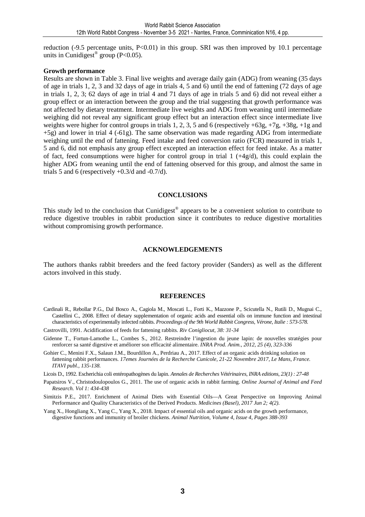reduction (-9.5 percentage units, P<0.01) in this group. SRI was then improved by 10.1 percentage units in Cunidigest<sup>®</sup> group (P<0.05).

### **Growth performance**

Results are shown in Table 3. Final live weights and average daily gain (ADG) from weaning (35 days of age in trials 1, 2, 3 and 32 days of age in trials 4, 5 and 6) until the end of fattening (72 days of age in trials 1, 2, 3; 62 days of age in trial 4 and 71 days of age in trials 5 and 6) did not reveal either a group effect or an interaction between the group and the trial suggesting that growth performance was not affected by dietary treatment. Intermediate live weights and ADG from weaning until intermediate weighing did not reveal any significant group effect but an interaction effect since intermediate live weights were higher for control groups in trials 1, 2, 3, 5 and 6 (respectively +63g, +7g, +38g, +1g and +5g) and lower in trial 4 (-61g). The same observation was made regarding ADG from intermediate weighing until the end of fattening. Feed intake and feed conversion ratio (FCR) measured in trials 1, 5 and 6, did not emphasis any group effect excepted an interaction effect for feed intake. As a matter of fact, feed consumptions were higher for control group in trial  $1 (+4g/d)$ , this could explain the higher ADG from weaning until the end of fattening observed for this group, and almost the same in trials 5 and 6 (respectively  $+0.3/d$  and  $-0.7/d$ ).

### **CONCLUSIONS**

This study led to the conclusion that Cunidigest<sup>®</sup> appears to be a convenient solution to contribute to reduce digestive troubles in rabbit production since it contributes to reduce digestive mortalities without compromising growth performance.

#### **ACKNOWLEDGEMENTS**

The authors thanks rabbit breeders and the feed factory provider (Sanders) as well as the different actors involved in this study.

#### **REFERENCES**

- Cardinali R., Rebollar P.G., Dal Bosco A., Cagiola M., Moscati L., Forti K., Mazzone P., Scicutella N., Rutili D., Mugnai C., Castellini C., 2008. Effect of dietary supplementation of organic acids and essential oils on immune function and intestinal characteristics of experimentally infected rabbits. *Proceedings of the 9th World Rabbit Congress, Vérone, Italie : 573-578.*
- Castrovilli, 1991. Acidification of feeds for fattening rabbits. *Riv Conigliocut, 38: 31-34*
- Gidenne T., Fortun-Lamothe L., Combes S., 2012. Restreindre l'ingestion du jeune lapin: de nouvelles stratégies pour renforcer sa santé digestive et améliorer son efficacité alimentaire. *INRA Prod. Anim., 2012, 25 (4), 323-336*
- Gohier C., Menini F.X., Salaun J.M., Bourdillon A., Perdriau A., 2017. Effect of an organic acids drinking solution on fattening rabbit performances. *17emes Journées de la Recherche Cunicole, 21-22 Novembre 2017, Le Mans, France. ITAVI publ., 135-138.*
- Licois D., 1992. Escherichia coli entéropathogènes du lapin. *Annales de Recherches Vétérinaires, INRA editions, 23(1) : 27-48*
- Papatsiros V., Christodoulopoulos G., 2011. The use of organic acids in rabbit farming. *Online Journal of Animal and Feed Research. Vol 1: 434-438*
- Simitzis P.E., 2017. Enrichment of Animal Diets with Essential Oils—A Great Perspective on Improving Animal Performance and Quality Characteristics of the Derived Products. *Medicines (Basel), 2017 Jun 2; 4(2).*
- Yang X., Hongliang X., Yang C., Yang X., 2018. Impact of essential oils and organic acids on the growth performance, digestive functions and immunity of broiler chickens. *Animal Nutrition, Volume 4, Issue 4, Pages 388-393*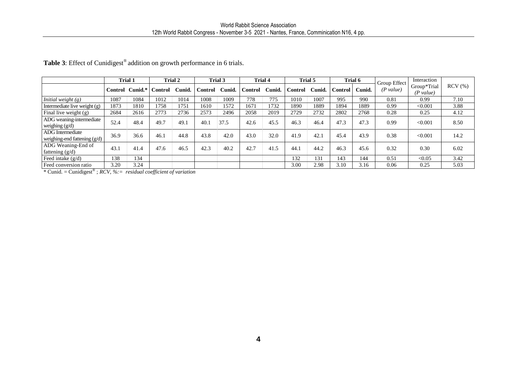| $(P$ value)<br>Control Cunid.*<br>Control Cunid.<br>Control Cunid.<br>Control Cunid.<br>Control Cunid.<br>Control<br>Cunid.<br>(P value)<br>995<br>1084<br>1012<br>1008<br>1009<br>778<br>775<br>1010<br>1007<br>990<br>1087<br>1014<br>0.81<br>0.99<br>1758<br>1751<br>1610<br>1572<br>1671<br>1732<br>1890<br>1889<br>1894<br>1873<br>1810<br>1889<br>0.99<br>< 0.001<br>2773<br>2496<br>2019<br>2768<br>0.25<br>2684<br>2616<br>2736<br>2573<br>2058<br>2729<br>2732<br>2802<br>0.28<br>4.12<br>52.4<br>48.4<br>49.7<br>49.1<br>40.1<br>37.5<br>45.5<br>47.3<br>0.99<br>42.6<br>46.3<br>46.4<br>47.3<br>< 0.001<br>36.9<br>46.1<br>44.8<br>43.8<br>42.0<br>43.0<br>32.0<br>41.9<br>43.9<br>0.38<br>36.6<br>42.1<br>45.4<br>< 0.001<br>47.6<br>42.3<br>42.7<br>43.1<br>41.4<br>46.5<br>40.2<br>41.5<br>44.2<br>45.6<br>0.32<br>0.30<br>44.1<br>46.3<br>138<br>134<br>132<br>131<br>143<br>144<br>0.51<br>< 0.05<br>3.20<br>3.24<br>3.00<br>2.98<br>3.10<br>3.16<br>0.06<br>0.25 |  | <b>Trial 1</b> | Trial 2<br>Trial 4<br>Trial 5<br>Trial 3 |  |  |  | Trial 6<br>Interaction<br>Group Effect |  |  |  |  |             |           |
|-----------------------------------------------------------------------------------------------------------------------------------------------------------------------------------------------------------------------------------------------------------------------------------------------------------------------------------------------------------------------------------------------------------------------------------------------------------------------------------------------------------------------------------------------------------------------------------------------------------------------------------------------------------------------------------------------------------------------------------------------------------------------------------------------------------------------------------------------------------------------------------------------------------------------------------------------------------------------------------|--|----------------|------------------------------------------|--|--|--|----------------------------------------|--|--|--|--|-------------|-----------|
| Initial weight $(g)$<br>Intermediate live weight (g)<br>Final live weight (g)<br>weighing $(g/d)$<br><b>ADG</b> Intermediate                                                                                                                                                                                                                                                                                                                                                                                                                                                                                                                                                                                                                                                                                                                                                                                                                                                      |  |                |                                          |  |  |  |                                        |  |  |  |  | Group*Trial | $RCV$ (%) |
|                                                                                                                                                                                                                                                                                                                                                                                                                                                                                                                                                                                                                                                                                                                                                                                                                                                                                                                                                                                   |  |                |                                          |  |  |  |                                        |  |  |  |  |             | 7.10      |
| ADG weaning-intermediate<br>weighing-end fattening (g/d)<br>ADG Weaning-End of<br>fattening (g/d)<br>Feed intake $(g/d)$                                                                                                                                                                                                                                                                                                                                                                                                                                                                                                                                                                                                                                                                                                                                                                                                                                                          |  |                |                                          |  |  |  |                                        |  |  |  |  |             | 3.88      |
|                                                                                                                                                                                                                                                                                                                                                                                                                                                                                                                                                                                                                                                                                                                                                                                                                                                                                                                                                                                   |  |                |                                          |  |  |  |                                        |  |  |  |  |             |           |
|                                                                                                                                                                                                                                                                                                                                                                                                                                                                                                                                                                                                                                                                                                                                                                                                                                                                                                                                                                                   |  |                |                                          |  |  |  |                                        |  |  |  |  |             | 8.50      |
|                                                                                                                                                                                                                                                                                                                                                                                                                                                                                                                                                                                                                                                                                                                                                                                                                                                                                                                                                                                   |  |                |                                          |  |  |  |                                        |  |  |  |  |             | 14.2      |
|                                                                                                                                                                                                                                                                                                                                                                                                                                                                                                                                                                                                                                                                                                                                                                                                                                                                                                                                                                                   |  |                |                                          |  |  |  |                                        |  |  |  |  |             | 6.02      |
| Feed conversion ratio<br>* Cunid. = Cunidigest <sup>®</sup> ; $RCV$ , %: = residual coefficient of variation                                                                                                                                                                                                                                                                                                                                                                                                                                                                                                                                                                                                                                                                                                                                                                                                                                                                      |  |                |                                          |  |  |  |                                        |  |  |  |  |             | 3.42      |
|                                                                                                                                                                                                                                                                                                                                                                                                                                                                                                                                                                                                                                                                                                                                                                                                                                                                                                                                                                                   |  |                |                                          |  |  |  |                                        |  |  |  |  |             | 5.03      |
|                                                                                                                                                                                                                                                                                                                                                                                                                                                                                                                                                                                                                                                                                                                                                                                                                                                                                                                                                                                   |  |                |                                          |  |  |  |                                        |  |  |  |  |             |           |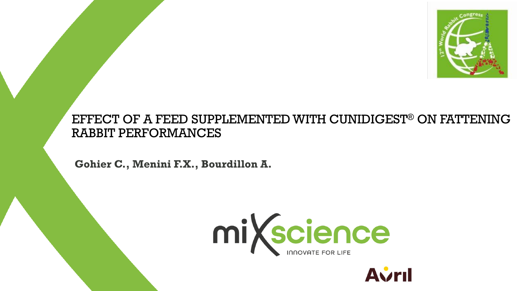

### EFFECT OF A FEED SUPPLEMENTED WITH CUNIDIGEST® ON FATTENING RABBIT PERFORMANCES

**Gohier C., Menini F.X., Bourdillon A.** 



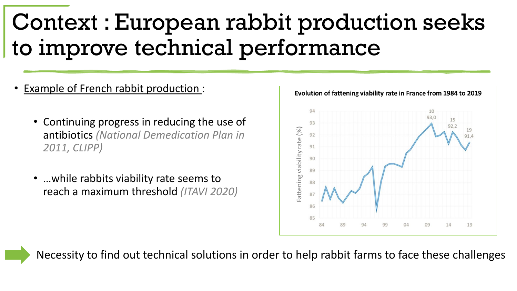# Context : European rabbit production seeks to improve technical performance

- Example of French rabbit production :
	- Continuing progress in reducing the use of antibiotics *(National Demedication Plan in 2011, CLIPP)*
	- …while rabbits viability rate seems to reach a maximum threshold *(ITAVI 2020)*



Necessity to find out technical solutions in order to help rabbit farms to face these challenges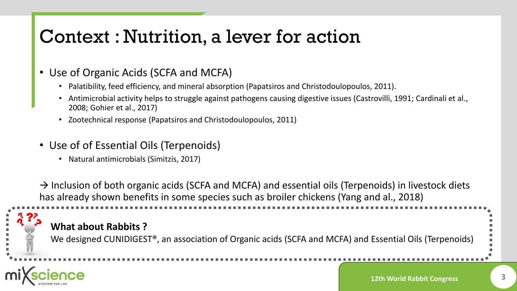## Context : Nutrition, a lever for action

- Use of Organic Acids (SCFA and MCFA)
	- Palatibility, feed efficiency, and mineral absorption (Papatsiros and Christodoulopoulos, 2011).
	- Antimicrobial activity helps to struggle against pathogens causing digestive issues (Castrovilli, 1991; Cardinali et al., 2008; Gohier et al., 2017)
	- Zootechnical response (Papatsiros and Christodoulopoulos, 2011)
- Use of of Essential Oils (Terpenoids)
	- Natural antimicrobials (Simitzis, 2017)

 $\rightarrow$  Inclusion of both organic acids (SCFA and MCFA) and essential oils (Terpenoids) in livestock diets has already shown benefits in some species such as broiler chickens (Yang and al., 2018)

### **What about Rabbits ?**

We designed CUNIDIGEST®, an association of Organic acids (SCFA and MCFA) and Essential Oils (Terpenoids)

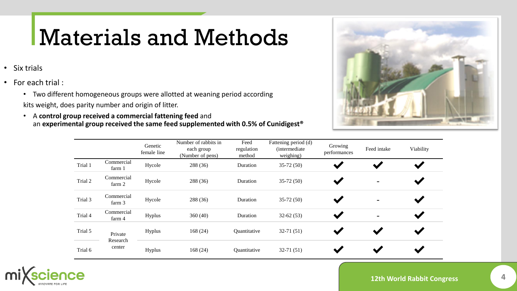# Materials and Methods

- Six trials
- For each trial :
	- Two different homogeneous groups were allotted at weaning period according kits weight, does parity number and origin of litter.
	- A **control group received a commercial fattening feed** and an **experimental group received the same feed supplemented with 0.5% of Cunidigest®**



|         |                      | Genetic<br>female line | Number of rabbits in<br>each group<br>(Number of pens) | Feed<br>regulation<br>method | Fattening period (d)<br><i>(intermediate)</i><br>weighing) | Growing<br>performances | Feed intake              | Viability |
|---------|----------------------|------------------------|--------------------------------------------------------|------------------------------|------------------------------------------------------------|-------------------------|--------------------------|-----------|
| Trial 1 | Commercial<br>farm 1 | Hycole                 | 288 (36)                                               | Duration                     | $35-72(50)$                                                |                         |                          |           |
| Trial 2 | Commercial<br>farm 2 | Hycole                 | 288 (36)                                               | Duration                     | $35-72(50)$                                                |                         |                          |           |
| Trial 3 | Commercial<br>farm 3 | Hycole                 | 288 (36)                                               | Duration                     | $35-72(50)$                                                |                         | $\overline{\phantom{0}}$ |           |
| Trial 4 | Commercial<br>farm 4 | Hyplus                 | 360(40)                                                | Duration                     | $32-62(53)$                                                |                         | $\blacksquare$           |           |
| Trial 5 | Private<br>Research  | Hyplus                 | 168(24)                                                | Quantitative                 | $32-71(51)$                                                |                         |                          |           |
| Trial 6 | center               | Hyplus                 | 168(24)                                                | Quantitative                 | $32-71(51)$                                                |                         |                          |           |

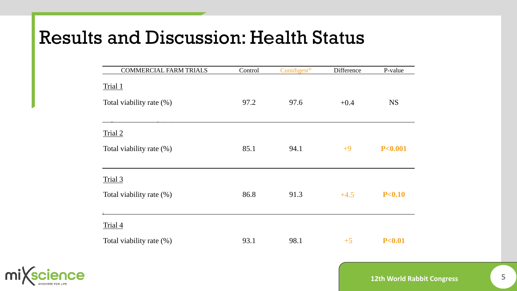| <b>COMMERCIAL FARM TRIALS</b> | Control | Cunidigest <sup>®</sup> | Difference | P-value            |
|-------------------------------|---------|-------------------------|------------|--------------------|
| Trial 1                       |         |                         |            |                    |
| Total viability rate (%)      | 97.2    | 97.6                    | $+0.4$     | <b>NS</b>          |
|                               |         |                         |            |                    |
| Trial 2                       |         |                         |            |                    |
| Total viability rate (%)      | 85.1    | 94.1                    | $+9$       | P <sub>0.001</sub> |
|                               |         |                         |            |                    |
| Trial 3                       |         |                         |            |                    |
| Total viability rate (%)      | 86.8    | 91.3                    | $+4.5$     | P < 0.10           |
|                               |         |                         |            |                    |
| Trial 4                       |         |                         |            |                    |
| Total viability rate (%)      | 93.1    | 98.1                    | $+5$       | P < 0.01           |



**12th World Rabbit Congress 5**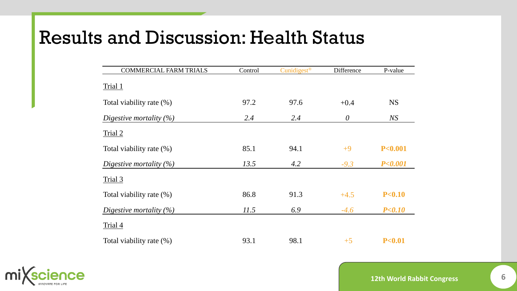| <b>COMMERCIAL FARM TRIALS</b> | Control | Cunidigest <sup>®</sup> | Difference | P-value            |
|-------------------------------|---------|-------------------------|------------|--------------------|
| Trial <sub>1</sub>            |         |                         |            |                    |
| Total viability rate (%)      | 97.2    | 97.6                    | $+0.4$     | <b>NS</b>          |
| Digestive mortality $(\%)$    | 2.4     | 2.4                     | $\theta$   | NS                 |
| Trial 2                       |         |                         |            |                    |
| Total viability rate (%)      | 85.1    | 94.1                    | $+9$       | P <sub>0.001</sub> |
| Digestive mortality $(\%)$    | 13.5    | 4.2                     | $-9.3$     | P < 0.001          |
| Trial 3                       |         |                         |            |                    |
| Total viability rate (%)      | 86.8    | 91.3                    | $+4.5$     | P < 0.10           |
| Digestive mortality $(\%)$    | 11.5    | 6.9                     | $-4.6$     | P < 0.10           |
| Trial 4                       |         |                         |            |                    |
| Total viability rate (%)      | 93.1    | 98.1                    | $+5$       | P <sub>0.01</sub>  |



**12th World Rabbit Congress 6**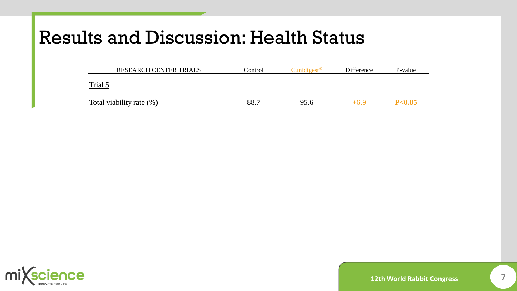| <b>RESEARCH CENTER TRIALS</b> | Control | $C$ unidigest <sup>®</sup> | Difference | P-value |
|-------------------------------|---------|----------------------------|------------|---------|
| Trial <sub>5</sub>            |         |                            |            |         |
| Total viability rate (%)      | 88.7    | 95.6                       | +6 Y       | P< 0.05 |

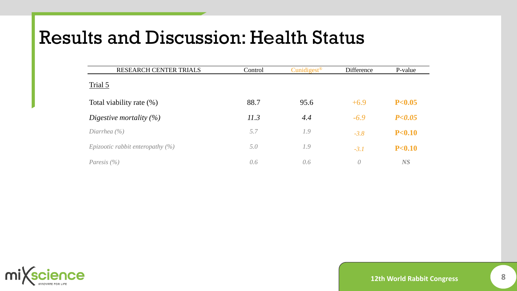| RESEARCH CENTER TRIALS              | Control | Cunidigest <sup>®</sup> | Difference    | P-value           |
|-------------------------------------|---------|-------------------------|---------------|-------------------|
| Trial 5                             |         |                         |               |                   |
| Total viability rate (%)            | 88.7    | 95.6                    | $+6.9$        | P <sub>0.05</sub> |
| Digestive mortality $(\%)$          | 11.3    | 4.4                     | $-6.9$        | P < 0.05          |
| Diarrhea $(\% )$                    | 5.7     | 1.9                     | $-3.8$        | P <sub>0.10</sub> |
| Epizootic rabbit enteropathy $(\%)$ | 5.0     | 1.9                     | $-3.1$        | P <sub>0.10</sub> |
| Paresis $(\% )$                     | 0.6     | 0.6                     | $\mathcal{O}$ | <b>NS</b>         |

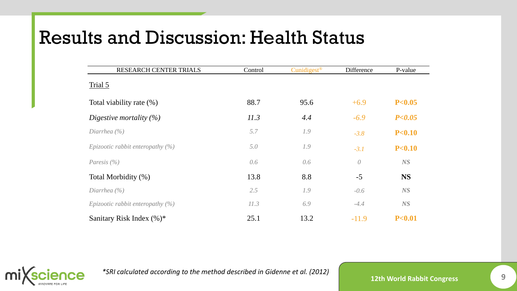| RESEARCH CENTER TRIALS              | Control | Cunidigest <sup>®</sup> | Difference | P-value           |
|-------------------------------------|---------|-------------------------|------------|-------------------|
| Trial 5                             |         |                         |            |                   |
| Total viability rate (%)            | 88.7    | 95.6                    | $+6.9$     | P <sub>0.05</sub> |
| Digestive mortality $(\%)$          | 11.3    | 4.4                     | $-6.9$     | P < 0.05          |
| Diarrhea $(\% )$                    | 5.7     | 1.9                     | $-3.8$     | P < 0.10          |
| Epizootic rabbit enteropathy $(\%)$ | 5.0     | 1.9                     | $-3.1$     | P < 0.10          |
| Paresis $(\% )$                     | 0.6     | 0.6                     | $\theta$   | NS                |
| Total Morbidity (%)                 | 13.8    | 8.8                     | $-5$       | <b>NS</b>         |
| Diarrhea $(\% )$                    | 2.5     | 1.9                     | $-0.6$     | NS                |
| Epizootic rabbit enteropathy $(\%)$ | 11.3    | 6.9                     | $-4.4$     | NS                |
| Sanitary Risk Index (%)*            | 25.1    | 13.2                    | $-11.9$    | P <sub>0.01</sub> |



*\*SRI calculated according to the method described in Gidenne et al. (2012)*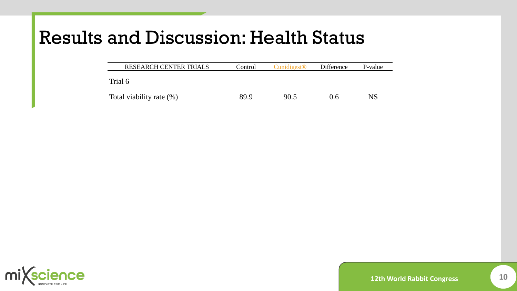| <b>RESEARCH CENTER TRIALS</b> | Control | Cunidigest <sup>®</sup> | <b>Difference</b> | P-value |
|-------------------------------|---------|-------------------------|-------------------|---------|
| Trial 6                       |         |                         |                   |         |
| Total viability rate (%)      | 89.9    | 90.5                    | 0.6               | NS      |

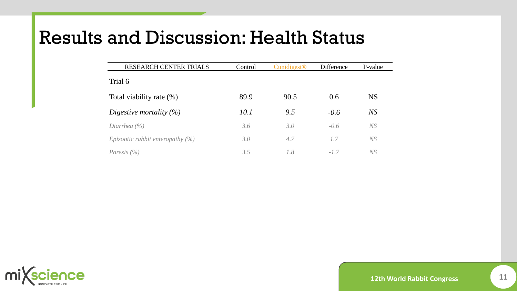| <b>RESEARCH CENTER TRIALS</b>              | Control | $C$ unidigest <sup>®</sup> | Difference | P-value   |
|--------------------------------------------|---------|----------------------------|------------|-----------|
| Trial 6                                    |         |                            |            |           |
| Total viability rate (%)                   | 89.9    | 90.5                       | 0.6        | <b>NS</b> |
| Digestive mortality $(\%)$                 | 10.1    | 9.5                        | $-0.6$     | NS        |
| Diarrhea $(\% )$                           | 3.6     | 3.0                        | $-0.6$     | NS        |
| <i>Epizootic rabbit enteropathy</i> $(\%)$ | 3.0     | 4.7                        | 1.7        | NS        |
| Paresis $(\% )$                            | 3.5     | 1.8                        | $-17$      | NS        |

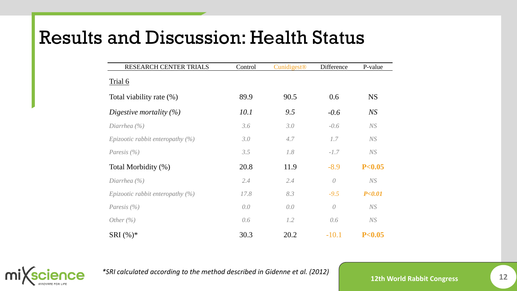| RESEARCH CENTER TRIALS              | Control | Cunidigest <sup>®</sup> | Difference | P-value           |
|-------------------------------------|---------|-------------------------|------------|-------------------|
| Trial 6                             |         |                         |            |                   |
| Total viability rate (%)            | 89.9    | 90.5                    | 0.6        | <b>NS</b>         |
| Digestive mortality $(\%)$          | 10.1    | 9.5                     | $-0.6$     | NS                |
| Diarrhea $(\% )$                    | 3.6     | 3.0                     | $-0.6$     | NS                |
| Epizootic rabbit enteropathy $(\%)$ | 3.0     | 4.7                     | 1.7        | NS                |
| Paresis $(\% )$                     | 3.5     | 1.8                     | $-1.7$     | NS                |
| Total Morbidity (%)                 | 20.8    | 11.9                    | $-8.9$     | P <sub>0.05</sub> |
| Diarrhea $(\% )$                    | 2.4     | 2.4                     | $\theta$   | NS                |
| Epizootic rabbit enteropathy $(\%)$ | 17.8    | 8.3                     | $-9.5$     | P < 0.01          |
| Paresis $(\% )$                     | 0.0     | 0.0                     | $\theta$   | NS                |
| Other $(\% )$                       | 0.6     | 1.2                     | 0.6        | NS                |
| <b>SRI</b> $(\%)^*$                 | 30.3    | 20.2                    | $-10.1$    | P<0.05            |



*\*SRI calculated according to the method described in Gidenne et al. (2012)*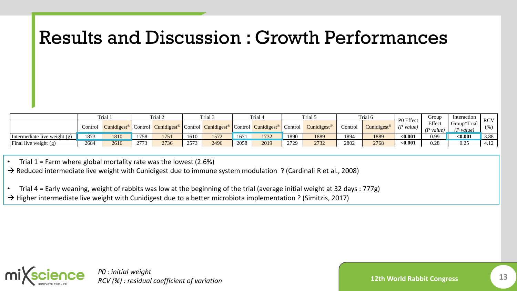|                              | Trial.  |      | Trial 2 |                                                                                                                                 | Trial 3 |      | Trial 4 |      | Trial 5 |                         | Trial 6 |                         | P0 Effect | Group                        | Interaction                | <b>RCV</b> |
|------------------------------|---------|------|---------|---------------------------------------------------------------------------------------------------------------------------------|---------|------|---------|------|---------|-------------------------|---------|-------------------------|-----------|------------------------------|----------------------------|------------|
|                              | Control |      |         | Cunidigest <sup>®</sup> Control Cunidigest <sup>®</sup> Control Cunidigest <sup>®</sup> Control Cunidigest <sup>®</sup> Control |         |      |         |      |         | Cunidigest <sup>®</sup> | Control | Cunidigest <sup>®</sup> | (P value) | Effect<br>$\langle P$ value) | Group*Trial<br>$(P$ value) | (% )       |
| Intermediate live weight (g) | 1873    | 1810 | 1758    | 1751                                                                                                                            | 1610    | 1572 | 1671    | 1732 | 1890    | 1889                    | 1894    | 1889                    | < 0.001   | 0.99                         | $0.001$                    | 3.88       |
| Final live weight $(g)$      | 2684    | 2616 | 2773    | 2736                                                                                                                            | 2573    | 2496 | 2058    | 2019 | 2729    | 2732                    | 2802    | 2768                    | < 0.001   | 0.28                         | 0.25                       | 4.12       |

weighing (g/d) 52.4 48.4 49.7 49.1 40.1 37.5 42.6 45.5 46.3 46.4 47.3 47.3 0.14 0.99 **<0.001** 8.50 • Trial  $1$  = Farm where global mortality rate was the lowest (2.6%)

end to fatter where global mortality rate was the lowest (2.0%)<br>That the fatter where global mortality functions that the immune system modulation 2 (Cardinali R et al. 2008)  $\rightarrow$  Reduced intermediate live weight with Cunidigest due to immune system modulation ? (Cardinali R et al., 2008)

• Trial 4 = Early weaning, weight of rabbits was low at the beginning of the trial (average initial weight at 32 days : 777g) → Higher intermediate live weight with Cunidigest due to a better microbiota implementation ? (Simitzis, 2017)

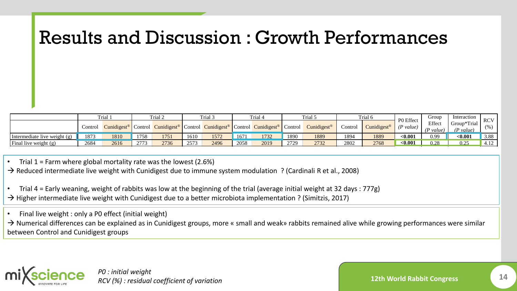|                              | Trial.  |      | Trial 2 |                                                                                                                                 | Trial 3 |      | Trial 4 |      | Trial 5 |                         | Trial 6 |                            | P0 Effect   | droup               | Interaction              | <b>RCV</b> |
|------------------------------|---------|------|---------|---------------------------------------------------------------------------------------------------------------------------------|---------|------|---------|------|---------|-------------------------|---------|----------------------------|-------------|---------------------|--------------------------|------------|
|                              | Control |      |         | Cunidigest <sup>®</sup> Control Cunidigest <sup>®</sup> Control Cunidigest <sup>®</sup> Control Cunidigest <sup>®</sup> Control |         |      |         |      |         | Cunidigest <sup>®</sup> | Control | $C$ unidigest <sup>®</sup> | (P value)   | Effect<br>(P value) | Group*Trial<br>(P value) | (% )       |
| Intermediate live weight (g) | 1873    | 1810 | 1758    | 1751                                                                                                                            | 1610    | 1572 | 1671    | 1732 | 1890    | 1889                    | 1894    | 1889                       | < 0.001     | 0.99                | $0.001$                  | 3.88       |
| Final live weight $(g)$      | 2684    | 2616 | 2773    | 2736                                                                                                                            | 2573    | 2496 | 2058    | 2019 | 2729    | 2732                    | 2802    | 2768                       | $\le 0.001$ | 0.28                | 0.25                     | 4.12       |

weighing (g/d) 52.4 48.4 49.7 49.1 40.1 37.5 42.6 45.5 46.3 46.4 47.3 47.3 0.14 0.99 **<0.001** 8.50 • Trial  $1$  = Farm where global mortality rate was the lowest (2.6%)

end to fatter where global mortality rate was the lowest (2.0%)<br>That the fatter where global mortality functions that the immune system modulation 2 (Cardinali R et al. 2008)  $\rightarrow$  Reduced intermediate live weight with Cunidigest due to immune system modulation ? (Cardinali R et al., 2008)

• Trial 4 = Early weaning, weight of rabbits was low at the beginning of the trial (average initial weight at 32 days : 777g) → Higher intermediate live weight with Cunidigest due to a better microbiota implementation ? (Simitzis, 2017)

• Final live weight : only a P0 effect (initial weight)

 $\rightarrow$  Numerical differences can be explained as in Cunidigest groups, more « small and weak» rabbits remained alive while growing performances were similar between Control and Cunidigest groups



*P0 : initial weight RCV (%) : residual coefficient of variation*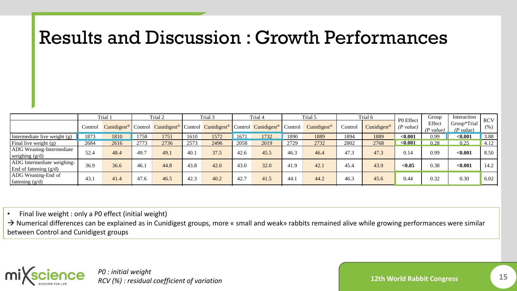|                                                        |         | Trial 1           |      | Trial 2                                                                                                           |      | Trial 3 |      | Trial 4                         |      | Trial 5                 |         | Trial 6                 |                        | Group               | Interaction              | <b>RCV</b> |
|--------------------------------------------------------|---------|-------------------|------|-------------------------------------------------------------------------------------------------------------------|------|---------|------|---------------------------------|------|-------------------------|---------|-------------------------|------------------------|---------------------|--------------------------|------------|
|                                                        | Control |                   |      | <b>Cunidigest<sup>®</sup></b> Control <b>Cunidigest<sup>®</sup></b> Control <b>Cunidigest<sup>®</sup></b> Control |      |         |      | Cunidigest <sup>®</sup> Control |      | Cunidigest <sup>®</sup> | Control | Cunidigest <sup>®</sup> | P0 Effect<br>(P value) | Effect<br>(P value) | Group*Trial<br>(P value) | (% )       |
| Intermediate live weight $(g)$                         | 1873    | 1810              | 1758 | 1751                                                                                                              | 1610 | 1572    | 1671 | 1732                            | 1890 | 1889                    | 1894    | 1889                    | < 0.001                | 0.99                | $0.001$                  | 3.88       |
| Final live weight $(g)$                                | 2684    | $26\overline{16}$ | 2773 | 2736                                                                                                              | 2573 | 2496    | 2058 | 2019                            | 2729 | 2732                    | 2802    | 2768                    | < 0.001                | 0.28                | 0.25                     | 4.12       |
| ADG Weaning-Intermediate<br>weighing $(g/d)$           | 52.4    | 48.4              | 49.7 | 49.1                                                                                                              | 40.1 | 37.5    | 42.6 | 45.5                            | 46.3 | 46.4                    | 47.3    | 47.3                    | 0.14                   | 0.99                | < 0.001                  | 8.50       |
| ADG Intermediate weighing-<br>End of fattening $(g/d)$ | 36.9    | 36.6              | 46.1 | 44.8                                                                                                              | 43.8 | 42.0    | 43.0 | 32.0                            | 41.9 | 42.1                    | 45.4    | 43.9                    | < 0.05                 | 0.38                | < 0.001                  | 14.2       |
| ADG Weaning-End of<br>fattening $(g/d)$                | 43.     | 41.4              | 47.6 | 46.5                                                                                                              | 42.3 | 40.2    | 42.7 | 41.5                            | 44.7 | 44.2                    | 46.3    | 45.6                    | 0.44                   | 0.32                | 0.30                     | 6.02       |

• Final live weight : only a P0 effect (initial weight)

→ Numerical differences can be explained as in Cunidigest groups, more « small and weak» rabbits remained alive while growing performances were similar between Control and Cunidigest groups



*P0 : initial weight RCV (%) : residual coefficient of variation*

**12th World Rabbit Congress 15**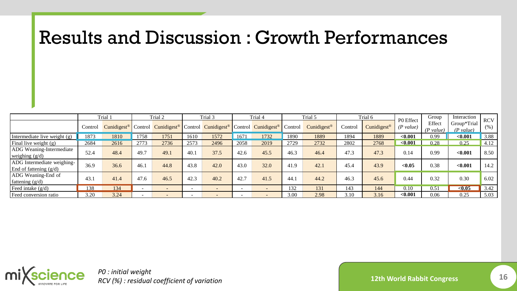|                                                        | Trial 1 |      | Trial 2 |        | Trial 3 |                                                                                                                                 | Trial 4                  |        | Trial 5 |                         | Trial 6 |             | P0 Effect | Group               | Interaction              | <b>RCV</b> |
|--------------------------------------------------------|---------|------|---------|--------|---------|---------------------------------------------------------------------------------------------------------------------------------|--------------------------|--------|---------|-------------------------|---------|-------------|-----------|---------------------|--------------------------|------------|
|                                                        | Control |      |         |        |         | Cunidigest <sup>®</sup> Control Cunidigest <sup>®</sup> Control Cunidigest <sup>®</sup> Control Cunidigest <sup>®</sup> Control |                          |        |         | Cunidigest <sup>®</sup> | Contro! | Cunidigest® | (P value) | Effect<br>(P value) | Group*Trial<br>(P value) | (% )       |
| Intermediate live weight (g)                           | 1873    | 1810 | 1758    | 1751   | 1610    | 1572                                                                                                                            | 1671                     | 1732   | 1890    | 1889                    | 1894    | 1889        | < 0.001   | 0.99                | < 0.001                  | 3.88       |
| Final live weight $(g)$                                | 2684    | 2616 | 2773    | 2736   | 2573    | 2496                                                                                                                            | 2058                     | 2019   | 2729    | 2732                    | 2802    | 2768        | < 0.001   | 0.28                | 0.25                     | 4.12       |
| <b>ADG</b> Weaning-Intermediate<br>weighing $(g/d)$    | 52.4    | 48.4 | 49.7    | 49.1   | 40.1    | 37.5                                                                                                                            | 42.6                     | 45.5   | 46.3    | 46.4                    | 47.3    | 47.3        | 0.14      | 0.99                | < 0.001                  | 8.50       |
| ADG Intermediate weighing-<br>End of fattening $(g/d)$ | 36.9    | 36.6 | 46.1    | 44.8   | 43.8    | 42.0                                                                                                                            | 43.0                     | 32.0   | 41.9    | 42.1                    | 45.4    | 43.9        | < 0.05    | 0.38                | < 0.001                  | 14.2       |
| ADG Weaning-End of<br>fattening $(g/d)$                | 43.1    | 41.4 | 47.6    | 46.5   | 42.3    | 40.2                                                                                                                            | 42.7                     | 41.5   | 44.1    | 44.2                    | 46.3    | 45.6        | 0.44      | 0.32                | 0.30                     | 6.02       |
| Feed intake $(g/d)$                                    | 138     | 134  | $\sim$  | $\sim$ |         | $\overline{\phantom{a}}$                                                                                                        | $\overline{\phantom{a}}$ | $\sim$ | 132     | 131                     | 143     | 144         | 0.10      | 0.51                | < 0.05                   | 3.42       |
| Feed conversion ratio                                  | 3.20    | 3.24 |         |        |         |                                                                                                                                 | $\overline{\phantom{a}}$ |        | 3.00    | 2.98                    | 3.10    | 3.16        | < 0.001   | 0.06                | 0.25                     | 5.03       |



*P0 : initial weight RCV (%) : residual coefficient of variation*

**12th World Rabbit Congress 16**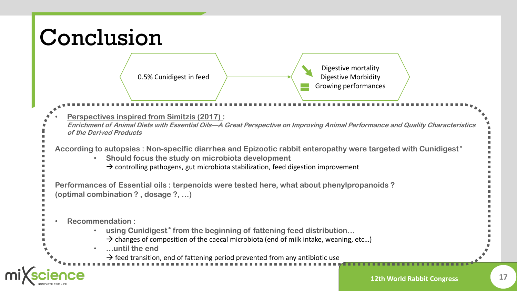